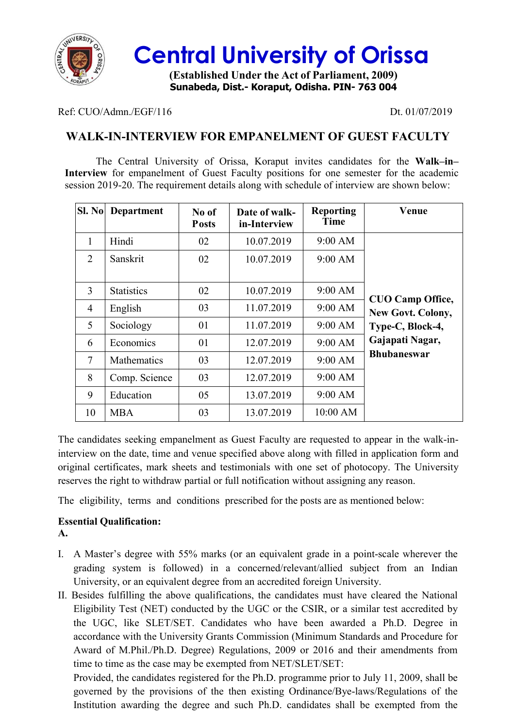

## **Central University of Orissa**

**(Established Under the Act of Parliament, 2009) Sunabeda, Dist.- Koraput, Odisha. PIN- 763 004**

#### Ref: CUO/Admn./EGF/116 Dt. 01/07/2019

## **WALK-IN-INTERVIEW FOR EMPANELMENT OF GUEST FACULTY**

The Central University of Orissa, Koraput invites candidates for the **Walk–in– Interview** for empanelment of Guest Faculty positions for one semester for the academic session 2019-20. The requirement details along with schedule of interview are shown below:

| Sl. No | <b>Department</b>  | No of<br><b>Posts</b> | Date of walk-<br>in-Interview | <b>Reporting</b><br><b>Time</b> | Venue                   |
|--------|--------------------|-----------------------|-------------------------------|---------------------------------|-------------------------|
| 1      | Hindi              | 02                    | 10.07.2019                    | 9:00 AM                         |                         |
| 2      | Sanskrit           | 02                    | 10.07.2019                    | 9:00 AM                         |                         |
|        |                    |                       |                               |                                 |                         |
| 3      | <b>Statistics</b>  | 02                    | 10.07.2019                    | 9:00 AM                         | <b>CUO Camp Office,</b> |
| 4      | English            | 03                    | 11.07.2019                    | 9:00 AM                         | New Govt. Colony,       |
| 5      | Sociology          | 01                    | 11.07.2019                    | 9:00 AM                         | Type-C, Block-4,        |
| 6      | Economics          | 01                    | 12.07.2019                    | 9:00 AM                         | Gajapati Nagar,         |
| 7      | <b>Mathematics</b> | 03                    | 12.07.2019                    | $9:00$ AM                       | <b>Bhubaneswar</b>      |
| 8      | Comp. Science      | 03                    | 12.07.2019                    | $9:00$ AM                       |                         |
| 9      | Education          | 05                    | 13.07.2019                    | $9:00$ AM                       |                         |
| 10     | <b>MBA</b>         | 03                    | 13.07.2019                    | 10:00 AM                        |                         |

The candidates seeking empanelment as Guest Faculty are requested to appear in the walk-ininterview on the date, time and venue specified above along with filled in application form and original certificates, mark sheets and testimonials with one set of photocopy. The University reserves the right to withdraw partial or full notification without assigning any reason.

The eligibility, terms and conditions prescribed for the posts are as mentioned below:

#### **Essential Qualification:**

**A.**

- I. A Master's degree with 55% marks (or an equivalent grade in a point-scale wherever the grading system is followed) in a concerned/relevant/allied subject from an Indian University, or an equivalent degree from an accredited foreign University.
- II. Besides fulfilling the above qualifications, the candidates must have cleared the National Eligibility Test (NET) conducted by the UGC or the CSIR, or a similar test accredited by the UGC, like SLET/SET. Candidates who have been awarded a Ph.D. Degree in accordance with the University Grants Commission (Minimum Standards and Procedure for Award of M.Phil./Ph.D. Degree) Regulations, 2009 or 2016 and their amendments from time to time as the case may be exempted from NET/SLET/SET:

Provided, the candidates registered for the Ph.D. programme prior to July 11, 2009, shall be governed by the provisions of the then existing Ordinance/Bye-laws/Regulations of the Institution awarding the degree and such Ph.D. candidates shall be exempted from the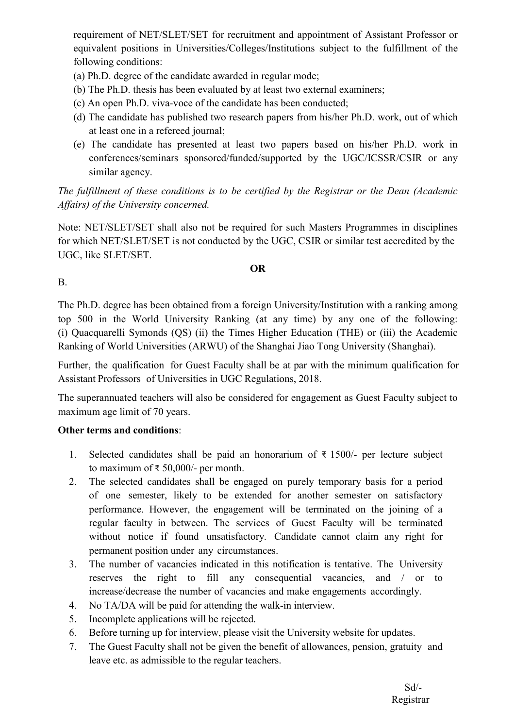requirement of NET/SLET/SET for recruitment and appointment of Assistant Professor or equivalent positions in Universities/Colleges/Institutions subject to the fulfillment of the following conditions:

- (a) Ph.D. degree of the candidate awarded in regular mode;
- (b) The Ph.D. thesis has been evaluated by at least two external examiners;
- (c) An open Ph.D. viva-voce of the candidate has been conducted;
- (d) The candidate has published two research papers from his/her Ph.D. work, out of which at least one in a refereed journal;
- (e) The candidate has presented at least two papers based on his/her Ph.D. work in conferences/seminars sponsored/funded/supported by the UGC/ICSSR/CSIR or any similar agency.

*The fulfillment of these conditions is to be certified by the Registrar or the Dean (Academic Affairs) of the University concerned.*

Note: NET/SLET/SET shall also not be required for such Masters Programmes in disciplines for which NET/SLET/SET is not conducted by the UGC, CSIR or similar test accredited by the UGC, like SLET/SET.

#### **OR**

B.

The Ph.D. degree has been obtained from a foreign University/Institution with a ranking among top 500 in the World University Ranking (at any time) by any one of the following: (i) Quacquarelli Symonds (QS) (ii) the Times Higher Education (THE) or (iii) the Academic Ranking of World Universities (ARWU) of the Shanghai Jiao Tong University (Shanghai).

Further, the qualification for Guest Faculty shall be at par with the minimum qualification for Assistant Professors of Universities in UGC Regulations, 2018.

The superannuated teachers will also be considered for engagement as Guest Faculty subject to maximum age limit of 70 years.

#### **Other terms and conditions**:

- 1. Selected candidates shall be paid an honorarium of ₹ 1500/- per lecture subject to maximum of ₹ 50,000/- per month.
- 2. The selected candidates shall be engaged on purely temporary basis for a period of one semester, likely to be extended for another semester on satisfactory performance. However, the engagement will be terminated on the joining of a regular faculty in between. The services of Guest Faculty will be terminated without notice if found unsatisfactory. Candidate cannot claim any right for permanent position under any circumstances.
- 3. The number of vacancies indicated in this notification is tentative. The University reserves the right to fill any consequential vacancies, and / or to increase/decrease the number of vacancies and make engagements accordingly.
- 4. No TA/DA will be paid for attending the walk-in interview.
- 5. Incomplete applications will be rejected.
- 6. Before turning up for interview, please visit the University website for updates.
- 7. The Guest Faculty shall not be given the benefit of allowances, pension, gratuity and leave etc. as admissible to the regular teachers.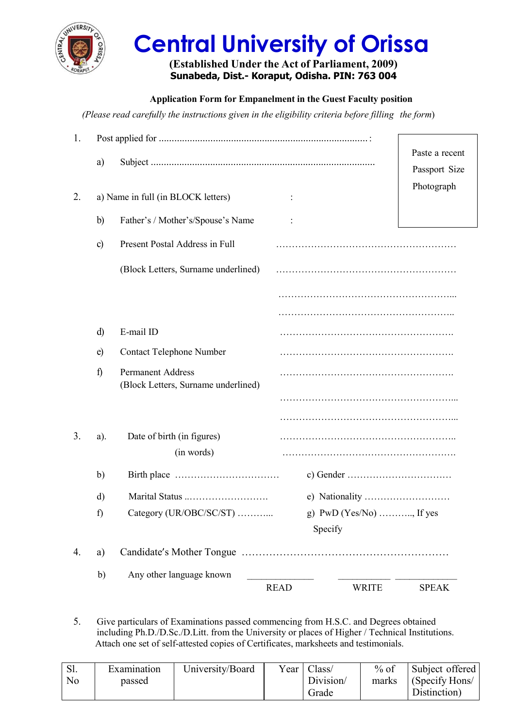

# **Central University of Orissa**

#### **(Established Under the Act of Parliament, 2009) Sunabeda, Dist.- Koraput, Odisha. PIN: 763 004**

**Application Form for Empanelment in the Guest Faculty position**

*(Please read carefully the instructions given in the eligibility criteria before filling the form*)

| 1. |              |                                                                 |                             |                |
|----|--------------|-----------------------------------------------------------------|-----------------------------|----------------|
|    | a)           |                                                                 |                             | Paste a recent |
|    |              |                                                                 |                             | Passport Size  |
| 2. |              | a) Name in full (in BLOCK letters)                              |                             | Photograph     |
|    |              |                                                                 |                             |                |
|    | b)           | Father's / Mother's/Spouse's Name                               |                             |                |
|    | $\circ$ )    | Present Postal Address in Full                                  |                             |                |
|    |              | (Block Letters, Surname underlined)                             |                             |                |
|    |              |                                                                 |                             |                |
|    |              |                                                                 |                             |                |
|    | $\mathbf{d}$ | E-mail ID                                                       |                             |                |
|    | $\epsilon$   | <b>Contact Telephone Number</b>                                 |                             |                |
|    | $\mathbf f$  | <b>Permanent Address</b><br>(Block Letters, Surname underlined) |                             |                |
|    |              |                                                                 |                             |                |
|    |              |                                                                 |                             |                |
| 3. | a).          | Date of birth (in figures)                                      |                             |                |
|    |              | (in words)                                                      |                             |                |
|    | b)           |                                                                 |                             |                |
|    | d)           | Marital Status                                                  | e) Nationality              |                |
|    | f)           | Category (UR/OBC/SC/ST)                                         | g) $PWD$ (Yes/No) , If yes  |                |
|    |              |                                                                 | Specify                     |                |
| 4. | a)           |                                                                 |                             |                |
|    | b)           | Any other language known                                        |                             |                |
|    |              |                                                                 | <b>READ</b><br><b>WRITE</b> | <b>SPEAK</b>   |

5. Give particulars of Examinations passed commencing from H.S.C. and Degrees obtained including Ph.D./D.Sc./D.Litt. from the University or places of Higher / Technical Institutions. Attach one set of self-attested copies of Certificates, marksheets and testimonials.

| S1.<br>N <sub>o</sub> | Examination<br>passed | University/Board | Vear | Class/<br>Division/<br>Grade | % of<br>marks | Subject offered<br>(Specify Hons/<br>Distinction) |
|-----------------------|-----------------------|------------------|------|------------------------------|---------------|---------------------------------------------------|
|-----------------------|-----------------------|------------------|------|------------------------------|---------------|---------------------------------------------------|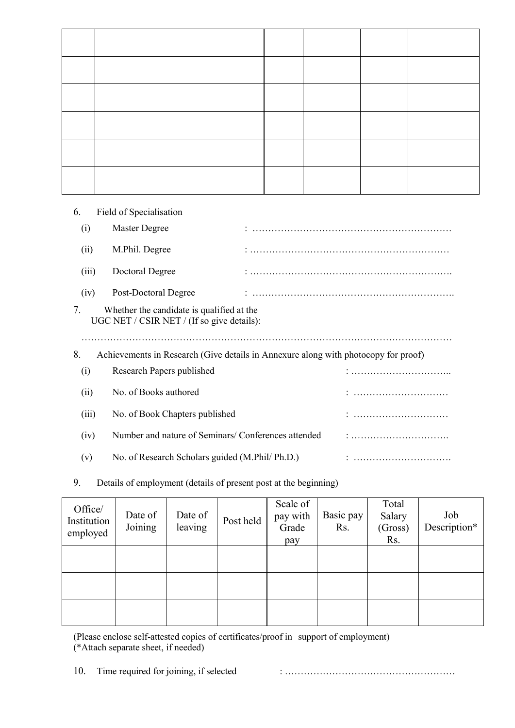| 6.    | Field of Specialisation                                                                 |  |   |
|-------|-----------------------------------------------------------------------------------------|--|---|
| (i)   | Master Degree                                                                           |  |   |
| (ii)  | M.Phil. Degree                                                                          |  |   |
| (iii) | Doctoral Degree                                                                         |  |   |
| (iv)  | Post-Doctoral Degree                                                                    |  |   |
| 7.    | Whether the candidate is qualified at the<br>UGC NET / CSIR NET / (If so give details): |  |   |
| 8.    | Achievements in Research (Give details in Annexure along with photocopy for proof)      |  |   |
| (i)   | Research Papers published                                                               |  |   |
| (ii)  | No. of Books authored                                                                   |  | : |
| (iii) | No. of Book Chapters published                                                          |  |   |
| (iv)  | Number and nature of Seminars/Conferences attended                                      |  |   |
| (v)   | No. of Research Scholars guided (M.Phil/ Ph.D.)                                         |  | : |

9. Details of employment (details of present post at the beginning)

| Office/<br>Institution<br>employed | Date of<br>Joining | Date of<br>leaving | Post held | Scale of<br>pay with<br>Grade<br>pay | Basic pay<br>Rs. | Total<br>Salary<br>(Gross)<br>Rs. | Job<br>Description* |
|------------------------------------|--------------------|--------------------|-----------|--------------------------------------|------------------|-----------------------------------|---------------------|
|                                    |                    |                    |           |                                      |                  |                                   |                     |
|                                    |                    |                    |           |                                      |                  |                                   |                     |
|                                    |                    |                    |           |                                      |                  |                                   |                     |

(Please enclose self-attested copies of certificates/proof in support of employment) (\*Attach separate sheet, if needed)

10. Time required for joining, if selected : ………………………………………………